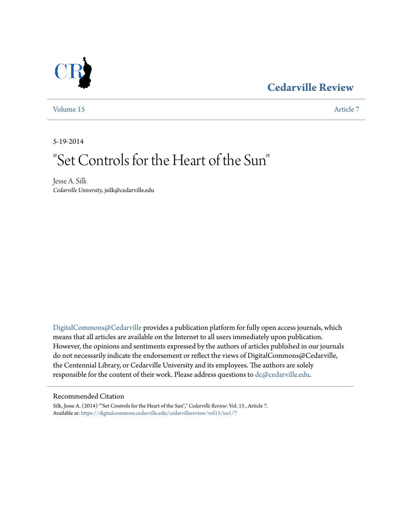### **[Cedarville Review](https://digitalcommons.cedarville.edu/cedarvillereview?utm_source=digitalcommons.cedarville.edu%2Fcedarvillereview%2Fvol15%2Fiss1%2F7&utm_medium=PDF&utm_campaign=PDFCoverPages)**



[Volume 15](https://digitalcommons.cedarville.edu/cedarvillereview/vol15?utm_source=digitalcommons.cedarville.edu%2Fcedarvillereview%2Fvol15%2Fiss1%2F7&utm_medium=PDF&utm_campaign=PDFCoverPages) [Article 7](https://digitalcommons.cedarville.edu/cedarvillereview/vol15/iss1/7?utm_source=digitalcommons.cedarville.edu%2Fcedarvillereview%2Fvol15%2Fiss1%2F7&utm_medium=PDF&utm_campaign=PDFCoverPages)

5-19-2014

# "Set Controls for the Heart of the Sun "

Jesse A. Silk *Cedarville University*, jsilk@cedarville.edu

[DigitalCommons@Cedarville](http://digitalcommons.cedarville.edu) provides a publication platform for fully open access journals, which means that all articles are available on the Internet to all users immediately upon publication. However, the opinions and sentiments expressed by the authors of articles published in our journals do not necessarily indicate the endorsement or reflect the views of DigitalCommons@Cedarville, the Centennial Library, or Cedarville University and its employees. The authors are solely responsible for the content of their work. Please address questions to [dc@cedarville.edu](mailto:dc@cedarville.edu).

#### Recommended Citation

Silk, Jesse A. (2014) ""Set Controls for the Heart of the Sun"," *Cedarville Review*: Vol. 15 , Article 7. Available at: [https://digitalcommons.cedarville.edu/cedarvillereview/vol15/iss1/7](https://digitalcommons.cedarville.edu/cedarvillereview/vol15/iss1/7?utm_source=digitalcommons.cedarville.edu%2Fcedarvillereview%2Fvol15%2Fiss1%2F7&utm_medium=PDF&utm_campaign=PDFCoverPages)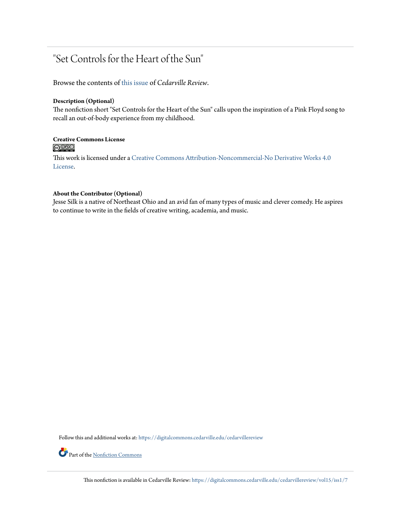### "Set Controls for the Heart of the Sun"

Browse the contents of [this issue](https://digitalcommons.cedarville.edu/cedarvillereview/vol15/iss1) of *Cedarville Review*.

#### **Description (Optional)**

The nonfiction short "Set Controls for the Heart of the Sun" calls upon the inspiration of a Pink Floyd song to recall an out-of-body experience from my childhood.

## Creative Commons License<br> **@ 089**

This work is licensed under a [Creative Commons Attribution-Noncommercial-No Derivative Works 4.0](http://creativecommons.org/licenses/by-nc-nd/4.0/) [License.](http://creativecommons.org/licenses/by-nc-nd/4.0/)

#### **About the Contributor (Optional)**

Jesse Silk is a native of Northeast Ohio and an avid fan of many types of music and clever comedy. He aspires to continue to write in the fields of creative writing, academia, and music.

Follow this and additional works at: [https://digitalcommons.cedarville.edu/cedarvillereview](https://digitalcommons.cedarville.edu/cedarvillereview?utm_source=digitalcommons.cedarville.edu%2Fcedarvillereview%2Fvol15%2Fiss1%2F7&utm_medium=PDF&utm_campaign=PDFCoverPages)

Part of the <u>[Nonfiction Commons](http://network.bepress.com/hgg/discipline/1152?utm_source=digitalcommons.cedarville.edu%2Fcedarvillereview%2Fvol15%2Fiss1%2F7&utm_medium=PDF&utm_campaign=PDFCoverPages)</u>